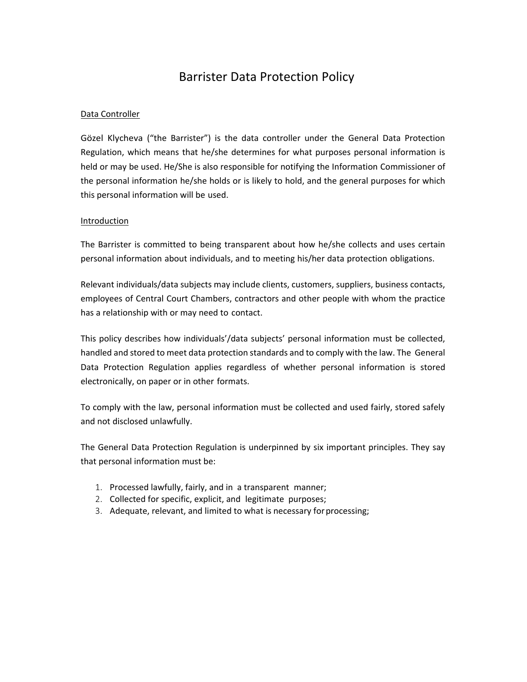# Barrister Data Protection Policy

# Data Controller

Gözel Klycheva ("the Barrister") is the data controller under the General Data Protection Regulation, which means that he/she determines for what purposes personal information is held or may be used. He/She is also responsible for notifying the Information Commissioner of the personal information he/she holds or is likely to hold, and the general purposes for which this personal information will be used.

### Introduction

The Barrister is committed to being transparent about how he/she collects and uses certain personal information about individuals, and to meeting his/her data protection obligations.

Relevant individuals/data subjects may include clients, customers, suppliers, business contacts, employees of Central Court Chambers, contractors and other people with whom the practice has a relationship with or may need to contact.

This policy describes how individuals'/data subjects' personal information must be collected, handled and stored to meet data protection standards and to comply with the law. The General Data Protection Regulation applies regardless of whether personal information is stored electronically, on paper or in other formats.

To comply with the law, personal information must be collected and used fairly, stored safely and not disclosed unlawfully.

The General Data Protection Regulation is underpinned by six important principles. They say that personal information must be:

- 1. Processed lawfully, fairly, and in a transparent manner;
- 2. Collected for specific, explicit, and legitimate purposes;
- 3. Adequate, relevant, and limited to what is necessary for processing;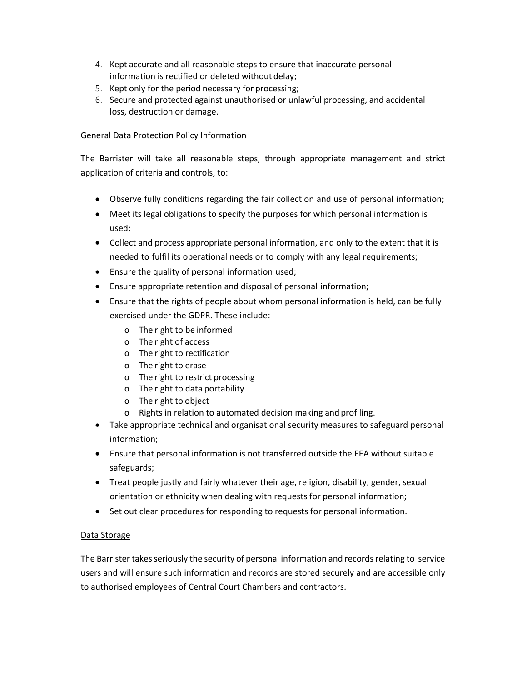- 4. Kept accurate and all reasonable steps to ensure that inaccurate personal information is rectified or deleted without delay;
- 5. Kept only for the period necessary for processing;
- 6. Secure and protected against unauthorised or unlawful processing, and accidental loss, destruction or damage.

# General Data Protection Policy Information

The Barrister will take all reasonable steps, through appropriate management and strict application of criteria and controls, to:

- Observe fully conditions regarding the fair collection and use of personal information;
- Meet its legal obligations to specify the purposes for which personal information is used;
- Collect and process appropriate personal information, and only to the extent that it is needed to fulfil its operational needs or to comply with any legal requirements;
- Ensure the quality of personal information used;
- Ensure appropriate retention and disposal of personal information;
- Ensure that the rights of people about whom personal information is held, can be fully exercised under the GDPR. These include:
	- o The right to be informed
	- o The right of access
	- o The right to rectification
	- o The right to erase
	- o The right to restrict processing
	- o The right to data portability
	- o The right to object
	- o Rights in relation to automated decision making and profiling.
- Take appropriate technical and organisational security measures to safeguard personal information;
- Ensure that personal information is not transferred outside the EEA without suitable safeguards;
- Treat people justly and fairly whatever their age, religion, disability, gender, sexual orientation or ethnicity when dealing with requests for personal information;
- Set out clear procedures for responding to requests for personal information.

# Data Storage

The Barrister takes seriously the security of personal information and records relating to service users and will ensure such information and records are stored securely and are accessible only to authorised employees of Central Court Chambers and contractors.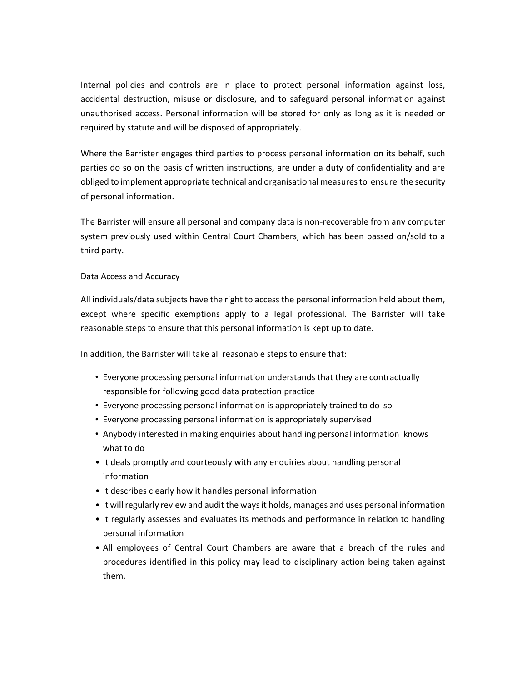Internal policies and controls are in place to protect personal information against loss, accidental destruction, misuse or disclosure, and to safeguard personal information against unauthorised access. Personal information will be stored for only as long as it is needed or required by statute and will be disposed of appropriately.

Where the Barrister engages third parties to process personal information on its behalf, such parties do so on the basis of written instructions, are under a duty of confidentiality and are obliged to implement appropriate technical and organisational measures to ensure the security of personal information.

The Barrister will ensure all personal and company data is non-recoverable from any computer system previously used within Central Court Chambers, which has been passed on/sold to a third party.

#### Data Access and Accuracy

All individuals/data subjects have the right to access the personal information held about them, except where specific exemptions apply to a legal professional. The Barrister will take reasonable steps to ensure that this personal information is kept up to date.

In addition, the Barrister will take all reasonable steps to ensure that:

- Everyone processing personal information understands that they are contractually responsible for following good data protection practice
- Everyone processing personal information is appropriately trained to do so
- Everyone processing personal information is appropriately supervised
- Anybody interested in making enquiries about handling personal information knows what to do
- It deals promptly and courteously with any enquiries about handling personal information
- It describes clearly how it handles personal information
- It will regularly review and audit the ways it holds, manages and uses personal information
- It regularly assesses and evaluates its methods and performance in relation to handling personal information
- All employees of Central Court Chambers are aware that a breach of the rules and procedures identified in this policy may lead to disciplinary action being taken against them.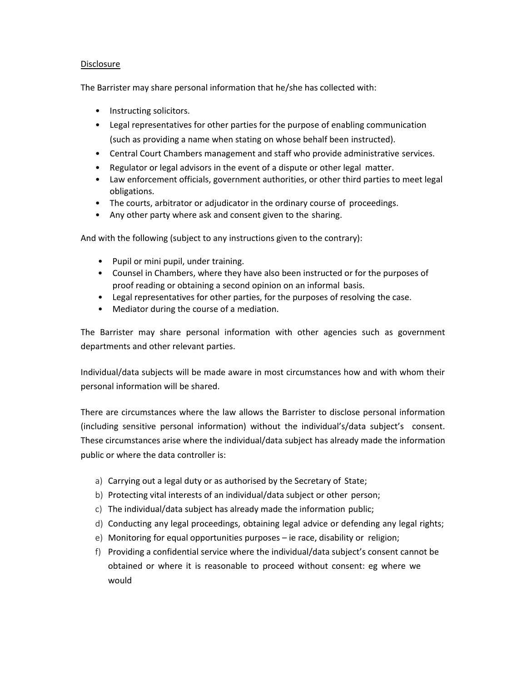## Disclosure

The Barrister may share personal information that he/she has collected with:

- Instructing solicitors.
- Legal representatives for other parties for the purpose of enabling communication (such as providing a name when stating on whose behalf been instructed).
- Central Court Chambers management and staff who provide administrative services.
- Regulator or legal advisors in the event of a dispute or other legal matter.
- Law enforcement officials, government authorities, or other third parties to meet legal obligations.
- The courts, arbitrator or adjudicator in the ordinary course of proceedings.
- Any other party where ask and consent given to the sharing.

And with the following (subject to any instructions given to the contrary):

- Pupil or mini pupil, under training.
- Counsel in Chambers, where they have also been instructed or for the purposes of proof reading or obtaining a second opinion on an informal basis.
- Legal representatives for other parties, for the purposes of resolving the case.
- Mediator during the course of a mediation.

The Barrister may share personal information with other agencies such as government departments and other relevant parties.

Individual/data subjects will be made aware in most circumstances how and with whom their personal information will be shared.

There are circumstances where the law allows the Barrister to disclose personal information (including sensitive personal information) without the individual's/data subject's consent. These circumstances arise where the individual/data subject has already made the information public or where the data controller is:

- a) Carrying out a legal duty or as authorised by the Secretary of State;
- b) Protecting vital interests of an individual/data subject or other person;
- c) The individual/data subject has already made the information public;
- d) Conducting any legal proceedings, obtaining legal advice or defending any legal rights;
- e) Monitoring for equal opportunities purposes ie race, disability or religion;
- f) Providing a confidential service where the individual/data subject's consent cannot be obtained or where it is reasonable to proceed without consent: eg where we would